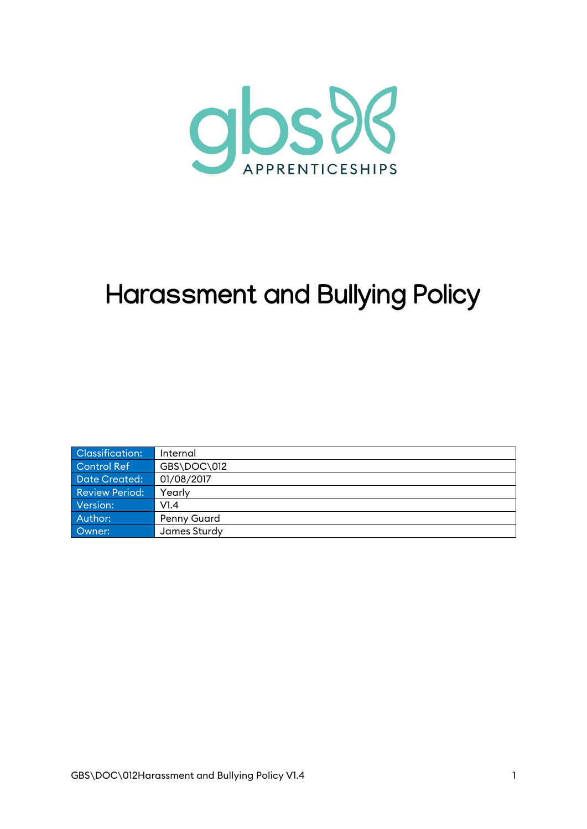

# **Harassment and Bullying Policy**

| Classification:       | Internal           |
|-----------------------|--------------------|
| Control Ref           | GBS\DOC\012        |
| Date Created:         | 01/08/2017         |
| <b>Review Period:</b> | Yearly             |
| Version:              | VI.4               |
| Author:               | <b>Penny Guard</b> |
| Owner:                | James Sturdy       |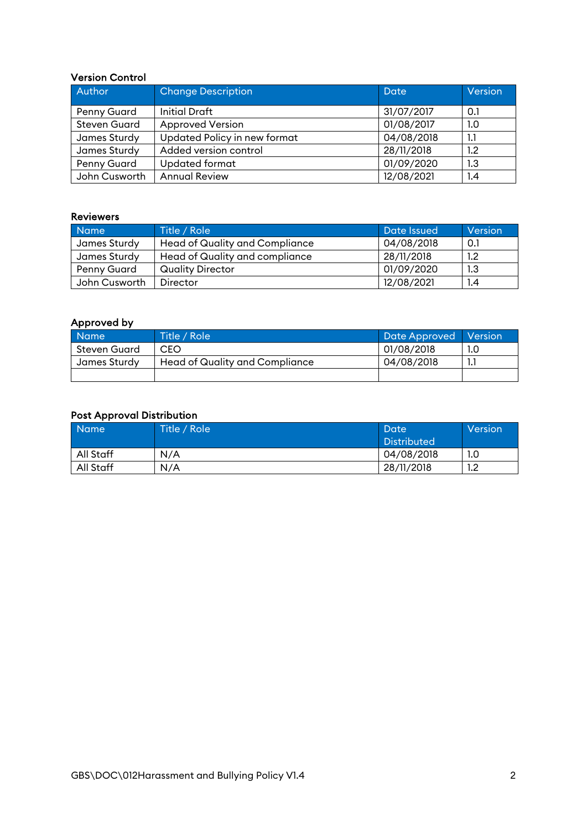#### Version Control

| Author              | <b>Change Description</b>    | Date       | Version |
|---------------------|------------------------------|------------|---------|
| <b>Penny Guard</b>  | Initial Draft                | 31/07/2017 | 0.1     |
| <b>Steven Guard</b> | <b>Approved Version</b>      | 01/08/2017 | 1.0     |
| James Sturdy        | Updated Policy in new format | 04/08/2018 | 1.1     |
| James Sturdy        | Added version control        | 28/11/2018 | $1.2\,$ |
| <b>Penny Guard</b>  | <b>Updated format</b>        | 01/09/2020 | 1.3     |
| John Cusworth       | <b>Annual Review</b>         | 12/08/2021 | 1.4     |

#### Reviewers

| <b>Name</b>   | Title / Role                          | Date Issued | Version |
|---------------|---------------------------------------|-------------|---------|
| James Sturdy  | <b>Head of Quality and Compliance</b> | 04/08/2018  | 0.1     |
| James Sturdy  | Head of Quality and compliance        | 28/11/2018  | 1.2     |
| Penny Guard   | <b>Quality Director</b>               | 01/09/2020  | 1.3     |
| John Cusworth | Director                              | 12/08/2021  | 1.4     |

#### Approved by

| <b>Name</b>  | Title / Role                   | Date Approved   Version |  |
|--------------|--------------------------------|-------------------------|--|
| Steven Guard | CEO                            | 01/08/2018              |  |
| James Sturdy | Head of Quality and Compliance | 04/08/2018              |  |
|              |                                |                         |  |

#### Post Approval Distribution

| Name      | Title / Role | Date<br><b>Distributed</b> | Version |
|-----------|--------------|----------------------------|---------|
| All Staff | N/A          | 04/08/2018                 | 1.0     |
| All Staff | N/A          | 28/11/2018                 | 1.2     |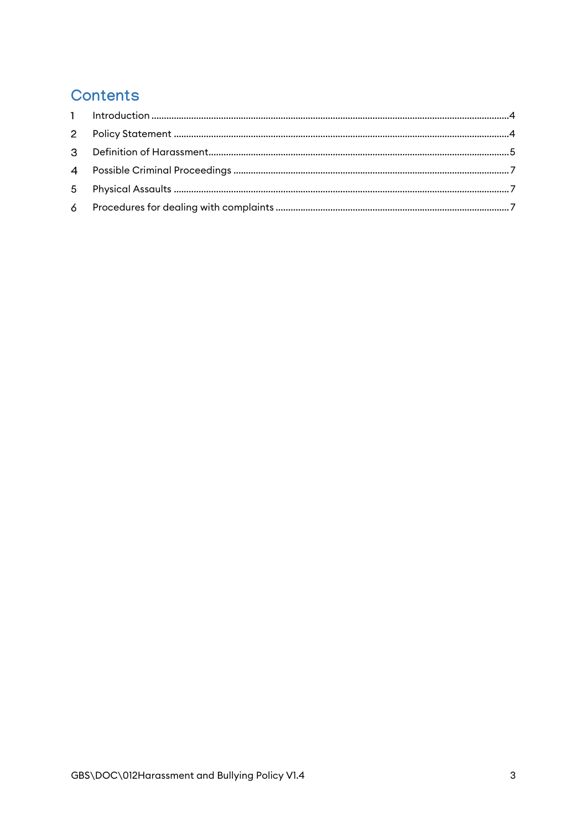# Contents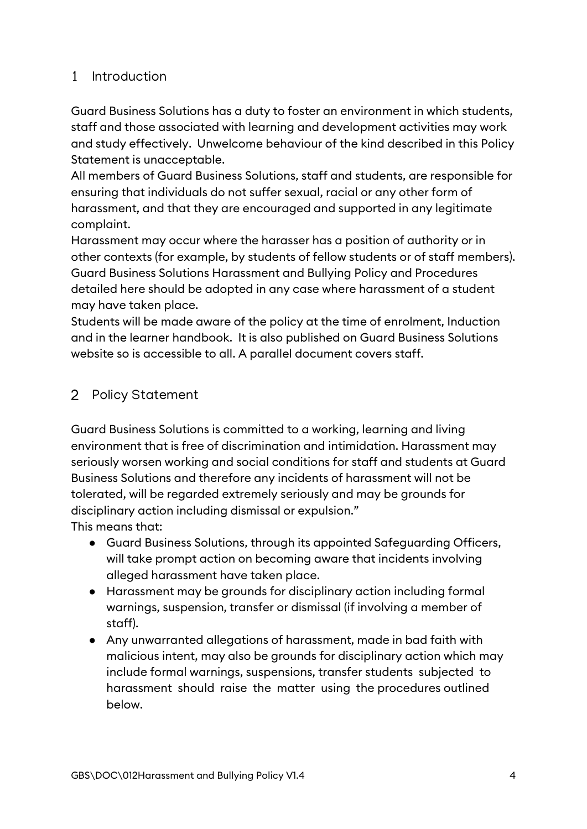# <span id="page-3-0"></span>Introduction

Guard Business Solutions has a duty to foster an environment in which students, staff and those associated with learning and development activities may work and study effectively. Unwelcome behaviour of the kind described in this Policy Statement is unacceptable.

All members of Guard Business Solutions, staff and students, are responsible for ensuring that individuals do not suffer sexual, racial or any other form of harassment, and that they are encouraged and supported in any legitimate complaint.

Harassment may occur where the harasser has a position of authority or in other contexts (for example, by students of fellow students or of staff members). Guard Business Solutions Harassment and Bullying Policy and Procedures detailed here should be adopted in any case where harassment of a student may have taken place.

Students will be made aware of the policy at the time of enrolment, Induction and in the learner handbook. It is also published on Guard Business Solutions website so is accessible to all. A parallel document covers staff.

# <span id="page-3-1"></span>2 Policy Statement

Guard Business Solutions is committed to a working, learning and living environment that is free of discrimination and intimidation. Harassment may seriously worsen working and social conditions for staff and students at Guard Business Solutions and therefore any incidents of harassment will not be tolerated, will be regarded extremely seriously and may be grounds for disciplinary action including dismissal or expulsion."

This means that:

- Guard Business Solutions, through its appointed Safeguarding Officers, will take prompt action on becoming aware that incidents involving alleged harassment have taken place.
- Harassment may be grounds for disciplinary action including formal warnings, suspension, transfer or dismissal (if involving a member of staff).
- Any unwarranted allegations of harassment, made in bad faith with malicious intent, may also be grounds for disciplinary action which may include formal warnings, suspensions, transfer students subjected to harassment should raise the matter using the procedures outlined below.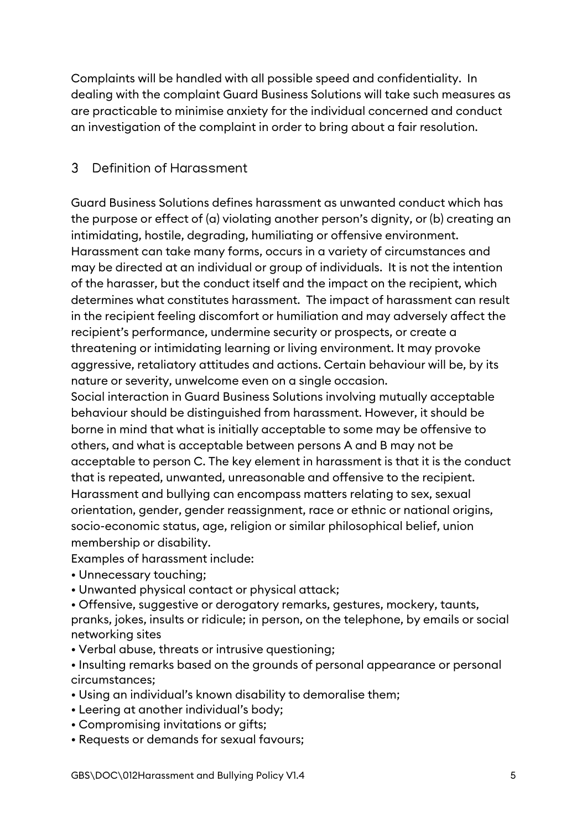Complaints will be handled with all possible speed and confidentiality. In dealing with the complaint Guard Business Solutions will take such measures as are practicable to minimise anxiety for the individual concerned and conduct an investigation of the complaint in order to bring about a fair resolution.

#### <span id="page-4-0"></span> $\mathcal{E}$ Definition of Harassment

Guard Business Solutions defines harassment as unwanted conduct which has the purpose or effect of (a) violating another person's dignity, or (b) creating an intimidating, hostile, degrading, humiliating or offensive environment. Harassment can take many forms, occurs in a variety of circumstances and may be directed at an individual or group of individuals. It is not the intention of the harasser, but the conduct itself and the impact on the recipient, which determines what constitutes harassment. The impact of harassment can result in the recipient feeling discomfort or humiliation and may adversely affect the recipient's performance, undermine security or prospects, or create a threatening or intimidating learning or living environment. It may provoke aggressive, retaliatory attitudes and actions. Certain behaviour will be, by its nature or severity, unwelcome even on a single occasion.

Social interaction in Guard Business Solutions involving mutually acceptable behaviour should be distinguished from harassment. However, it should be borne in mind that what is initially acceptable to some may be offensive to others, and what is acceptable between persons A and B may not be acceptable to person C. The key element in harassment is that it is the conduct that is repeated, unwanted, unreasonable and offensive to the recipient. Harassment and bullying can encompass matters relating to sex, sexual orientation, gender, gender reassignment, race or ethnic or national origins, socio-economic status, age, religion or similar philosophical belief, union membership or disability.

Examples of harassment include:

- Unnecessary touching;
- Unwanted physical contact or physical attack;

• Offensive, suggestive or derogatory remarks, gestures, mockery, taunts, pranks, jokes, insults or ridicule; in person, on the telephone, by emails or social networking sites

- Verbal abuse, threats or intrusive questioning;
- Insulting remarks based on the grounds of personal appearance or personal circumstances;
- Using an individual's known disability to demoralise them;
- Leering at another individual's body;
- Compromising invitations or gifts;
- Requests or demands for sexual favours;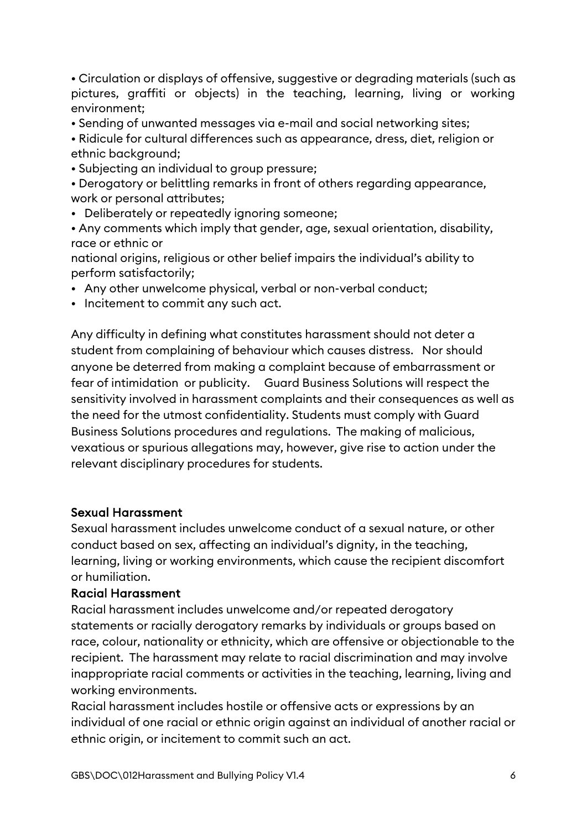• Circulation or displays of offensive, suggestive or degrading materials (such as pictures, graffiti or objects) in the teaching, learning, living or working environment;

• Sending of unwanted messages via e-mail and social networking sites;

• Ridicule for cultural differences such as appearance, dress, diet, religion or ethnic background;

• Subjecting an individual to group pressure;

• Derogatory or belittling remarks in front of others regarding appearance, work or personal attributes;

• Deliberately or repeatedly ignoring someone;

• Any comments which imply that gender, age, sexual orientation, disability, race or ethnic or

national origins, religious or other belief impairs the individual's ability to perform satisfactorily;

- Any other unwelcome physical, verbal or non-verbal conduct;
- Incitement to commit any such act.

Any difficulty in defining what constitutes harassment should not deter a student from complaining of behaviour which causes distress. Nor should anyone be deterred from making a complaint because of embarrassment or fear of intimidation or publicity. Guard Business Solutions will respect the sensitivity involved in harassment complaints and their consequences as well as the need for the utmost confidentiality. Students must comply with Guard Business Solutions procedures and regulations. The making of malicious, vexatious or spurious allegations may, however, give rise to action under the relevant disciplinary procedures for students.

#### Sexual Harassment

Sexual harassment includes unwelcome conduct of a sexual nature, or other conduct based on sex, affecting an individual's dignity, in the teaching, learning, living or working environments, which cause the recipient discomfort or humiliation.

#### Racial Harassment

Racial harassment includes unwelcome and/or repeated derogatory statements or racially derogatory remarks by individuals or groups based on race, colour, nationality or ethnicity, which are offensive or objectionable to the recipient. The harassment may relate to racial discrimination and may involve inappropriate racial comments or activities in the teaching, learning, living and working environments.

Racial harassment includes hostile or offensive acts or expressions by an individual of one racial or ethnic origin against an individual of another racial or ethnic origin, or incitement to commit such an act.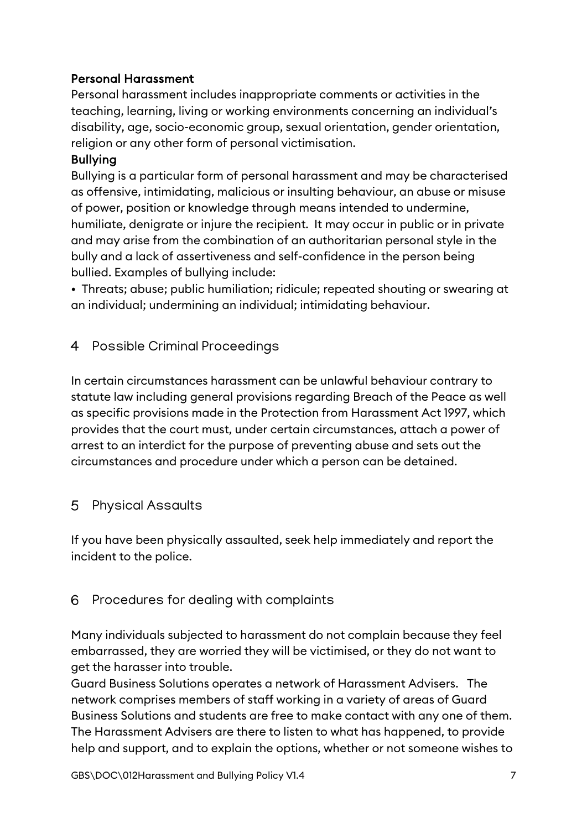## Personal Harassment

Personal harassment includes inappropriate comments or activities in the teaching, learning, living or working environments concerning an individual's disability, age, socio-economic group, sexual orientation, gender orientation, religion or any other form of personal victimisation.

### Bullying

Bullying is a particular form of personal harassment and may be characterised as offensive, intimidating, malicious or insulting behaviour, an abuse or misuse of power, position or knowledge through means intended to undermine, humiliate, denigrate or injure the recipient. It may occur in public or in private and may arise from the combination of an authoritarian personal style in the bully and a lack of assertiveness and self-confidence in the person being bullied. Examples of bullying include:

• Threats; abuse; public humiliation; ridicule; repeated shouting or swearing at an individual; undermining an individual; intimidating behaviour.

# <span id="page-6-0"></span>4 Possible Criminal Proceedings

In certain circumstances harassment can be unlawful behaviour contrary to statute law including general provisions regarding Breach of the Peace as well as specific provisions made in the Protection from Harassment Act 1997, which provides that the court must, under certain circumstances, attach a power of arrest to an interdict for the purpose of preventing abuse and sets out the circumstances and procedure under which a person can be detained.

#### <span id="page-6-1"></span>5 Physical Assaults

If you have been physically assaulted, seek help immediately and report the incident to the police.

# <span id="page-6-2"></span>6 Procedures for dealing with complaints

Many individuals subjected to harassment do not complain because they feel embarrassed, they are worried they will be victimised, or they do not want to get the harasser into trouble.

Guard Business Solutions operates a network of Harassment Advisers. The network comprises members of staff working in a variety of areas of Guard Business Solutions and students are free to make contact with any one of them. The Harassment Advisers are there to listen to what has happened, to provide help and support, and to explain the options, whether or not someone wishes to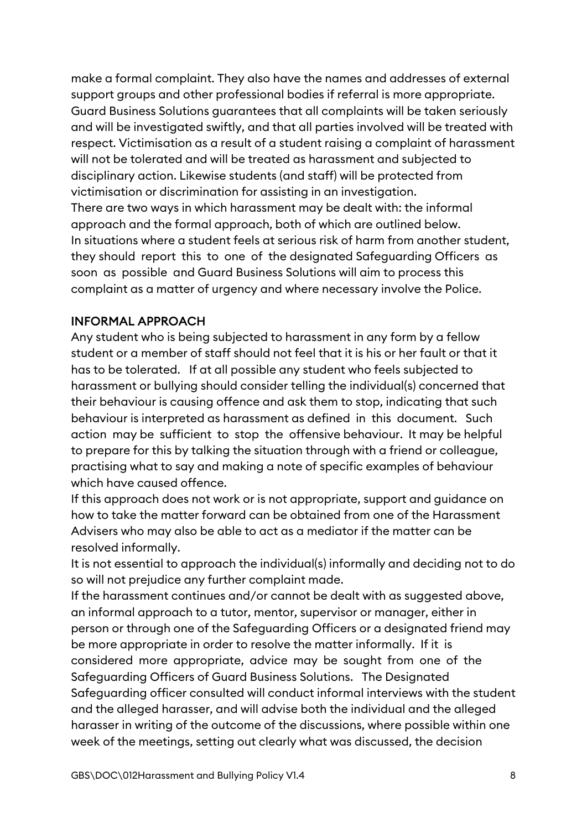make a formal complaint. They also have the names and addresses of external support groups and other professional bodies if referral is more appropriate. Guard Business Solutions guarantees that all complaints will be taken seriously and will be investigated swiftly, and that all parties involved will be treated with respect. Victimisation as a result of a student raising a complaint of harassment will not be tolerated and will be treated as harassment and subjected to disciplinary action. Likewise students (and staff) will be protected from victimisation or discrimination for assisting in an investigation. There are two ways in which harassment may be dealt with: the informal approach and the formal approach, both of which are outlined below. In situations where a student feels at serious risk of harm from another student, they should report this to one of the designated Safeguarding Officers as soon as possible and Guard Business Solutions will aim to process this complaint as a matter of urgency and where necessary involve the Police.

#### INFORMAL APPROACH

Any student who is being subjected to harassment in any form by a fellow student or a member of staff should not feel that it is his or her fault or that it has to be tolerated. If at all possible any student who feels subjected to harassment or bullying should consider telling the individual(s) concerned that their behaviour is causing offence and ask them to stop, indicating that such behaviour is interpreted as harassment as defined in this document. Such action may be sufficient to stop the offensive behaviour. It may be helpful to prepare for this by talking the situation through with a friend or colleague, practising what to say and making a note of specific examples of behaviour which have caused offence.

If this approach does not work or is not appropriate, support and guidance on how to take the matter forward can be obtained from one of the Harassment Advisers who may also be able to act as a mediator if the matter can be resolved informally.

It is not essential to approach the individual(s) informally and deciding not to do so will not prejudice any further complaint made.

If the harassment continues and/or cannot be dealt with as suggested above, an informal approach to a tutor, mentor, supervisor or manager, either in person or through one of the Safeguarding Officers or a designated friend may be more appropriate in order to resolve the matter informally. If it is considered more appropriate, advice may be sought from one of the Safeguarding Officers of Guard Business Solutions. The Designated Safeguarding officer consulted will conduct informal interviews with the student and the alleged harasser, and will advise both the individual and the alleged harasser in writing of the outcome of the discussions, where possible within one week of the meetings, setting out clearly what was discussed, the decision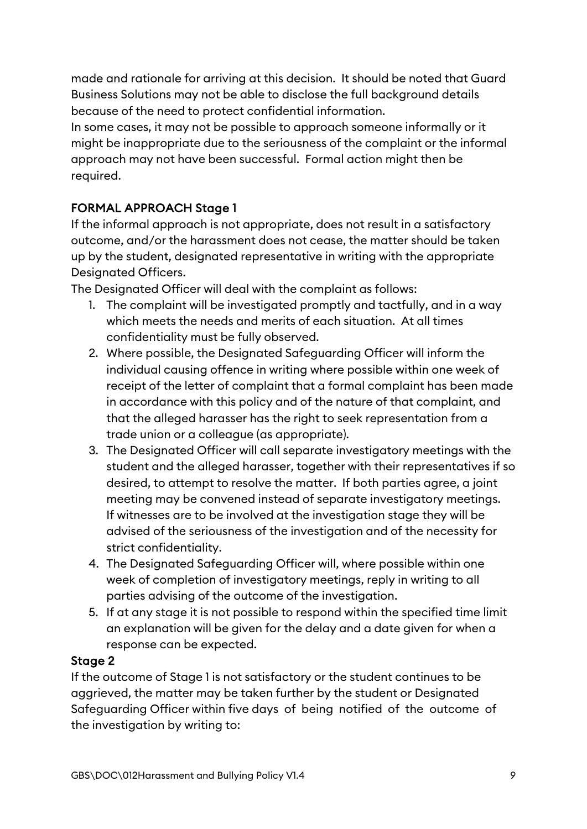made and rationale for arriving at this decision. It should be noted that Guard Business Solutions may not be able to disclose the full background details because of the need to protect confidential information.

In some cases, it may not be possible to approach someone informally or it might be inappropriate due to the seriousness of the complaint or the informal approach may not have been successful. Formal action might then be required.

# FORMAL APPROACH Stage 1

If the informal approach is not appropriate, does not result in a satisfactory outcome, and/or the harassment does not cease, the matter should be taken up by the student, designated representative in writing with the appropriate Designated Officers.

The Designated Officer will deal with the complaint as follows:

- 1. The complaint will be investigated promptly and tactfully, and in a way which meets the needs and merits of each situation. At all times confidentiality must be fully observed.
- 2. Where possible, the Designated Safeguarding Officer will inform the individual causing offence in writing where possible within one week of receipt of the letter of complaint that a formal complaint has been made in accordance with this policy and of the nature of that complaint, and that the alleged harasser has the right to seek representation from a trade union or a colleague (as appropriate).
- 3. The Designated Officer will call separate investigatory meetings with the student and the alleged harasser, together with their representatives if so desired, to attempt to resolve the matter. If both parties agree, a joint meeting may be convened instead of separate investigatory meetings. If witnesses are to be involved at the investigation stage they will be advised of the seriousness of the investigation and of the necessity for strict confidentiality.
- 4. The Designated Safeguarding Officer will, where possible within one week of completion of investigatory meetings, reply in writing to all parties advising of the outcome of the investigation.
- 5. If at any stage it is not possible to respond within the specified time limit an explanation will be given for the delay and a date given for when a response can be expected.

### Stage 2

If the outcome of Stage 1 is not satisfactory or the student continues to be aggrieved, the matter may be taken further by the student or Designated Safeguarding Officer within five days of being notified of the outcome of the investigation by writing to: